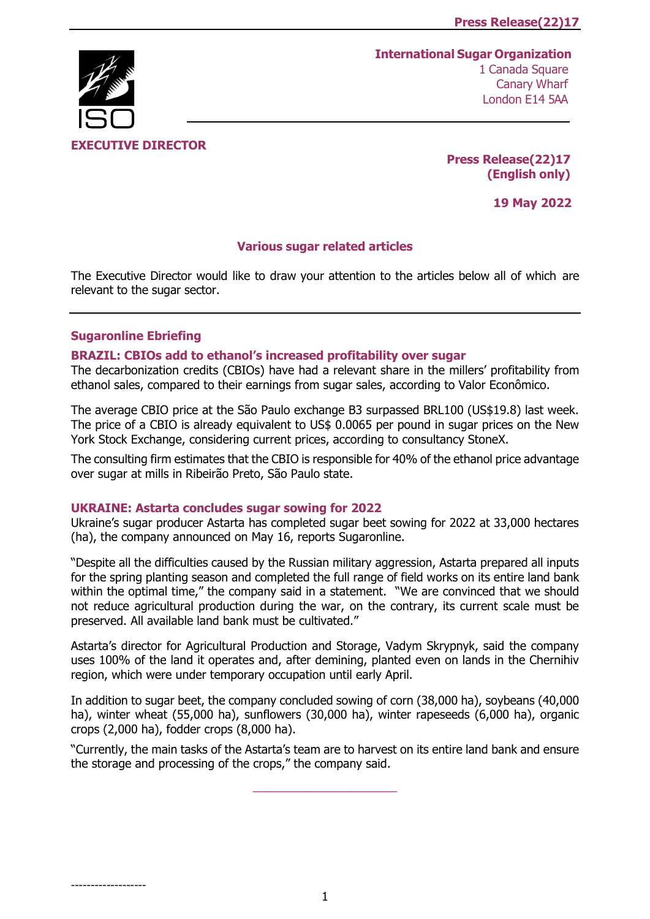# **International Sugar Organization**



**EXECUTIVE DIRECTOR** 

**Press Release(22)17 (English only)**

**19 May 2022**

## **Various sugar related articles**

The Executive Director would like to draw your attention to the articles below all of which are relevant to the sugar sector.

# **Sugaronline Ebriefing**

-------------------

## **[BRAZIL: CBIOs add to ethanol's increased profitability over sugar](https://www.sugaronline.com/2022/05/17/brazil-cbios-add-to-ethanols-increased-profitability-over-sugar/)**

The decarbonization credits (CBIOs) have had a relevant share in the millers' profitability from ethanol sales, compared to their earnings from sugar sales, according to Valor Econômico.

The average CBIO price at the São Paulo exchange B3 surpassed BRL100 (US\$19.8) last week. The price of a CBIO is already equivalent to US\$ 0.0065 per pound in sugar prices on the New York Stock Exchange, considering current prices, according to consultancy StoneX.

The consulting firm estimates that the CBIO is responsible for 40% of the ethanol price advantage over sugar at mills in Ribeirão Preto, São Paulo state.

#### **[UKRAINE: Astarta concludes sugar sowing for 2022](https://www.sugaronline.com/2022/05/17/ukraine-astarta-concludes-sugar-sowing-for-2022/)**

Ukraine's sugar producer Astarta has completed sugar beet sowing for 2022 at 33,000 hectares (ha), the company announced on May 16, reports Sugaronline.

"Despite all the difficulties caused by the Russian military aggression, Astarta prepared all inputs for the spring planting season and completed the full range of field works on its entire land bank within the optimal time," the company said in a statement. "We are convinced that we should not reduce agricultural production during the war, on the contrary, its current scale must be preserved. All available land bank must be cultivated."

Astarta's director for Agricultural Production and Storage, Vadym Skrypnyk, said the company uses 100% of the land it operates and, after demining, planted even on lands in the Chernihiv region, which were under temporary occupation until early April.

In addition to sugar beet, the company concluded sowing of corn (38,000 ha), soybeans (40,000 ha), winter wheat (55,000 ha), sunflowers (30,000 ha), winter rapeseeds (6,000 ha), organic crops (2,000 ha), fodder crops (8,000 ha).

"Currently, the main tasks of the Astarta's team are to harvest on its entire land bank and ensure the storage and processing of the crops," the company said.

\_\_\_\_\_\_\_\_\_\_\_\_\_\_\_\_\_\_\_\_\_\_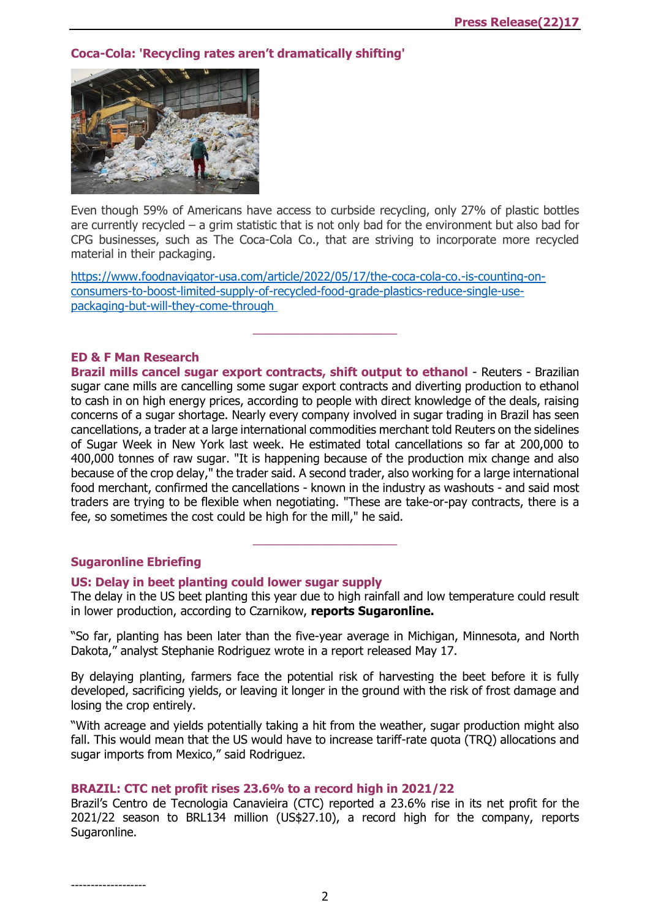# **Coca-Cola: 'Recycling ra[tes aren't dramatically shifting'](https://www.foodnavigator-usa.com/Article/2022/05/17/The-Coca-Cola-Co.-is-counting-on-consumers-to-boost-limited-supply-of-recycled-food-grade-plastics-reduce-single-use-packaging-but-will-they-come-through?utm_source=copyright&utm_medium=OnSite&utm_campaign=copyright)**



Even though 59% of Americans have access to curbside recycling, only 27% of plastic bottles are currently recycled – a grim statistic that is not only bad for the environment but also bad for CPG businesses, such as The Coca-Cola Co., that are striving to incorporate more recycled material in their packaging.

 $\frac{1}{2}$  ,  $\frac{1}{2}$  ,  $\frac{1}{2}$  ,  $\frac{1}{2}$  ,  $\frac{1}{2}$  ,  $\frac{1}{2}$  ,  $\frac{1}{2}$  ,  $\frac{1}{2}$  ,  $\frac{1}{2}$  ,  $\frac{1}{2}$  ,  $\frac{1}{2}$  ,  $\frac{1}{2}$  ,  $\frac{1}{2}$  ,  $\frac{1}{2}$  ,  $\frac{1}{2}$  ,  $\frac{1}{2}$  ,  $\frac{1}{2}$  ,  $\frac{1}{2}$  ,  $\frac{1$ 

[https://www.foodnavigator-usa.com/article/2022/05/17/the-coca-cola-co.-is-counting-on](https://www.foodnavigator-usa.com/Article/2022/05/17/The-Coca-Cola-Co.-is-counting-on-consumers-to-boost-limited-supply-of-recycled-food-grade-plastics-reduce-single-use-packaging-but-will-they-come-through?utm_source=copyright&utm_medium=OnSite&utm_campaign=copyright)[consumers-to-boost-limited-supply-of-recycled-food-grade-plastics-reduce-single-use](https://www.foodnavigator-usa.com/Article/2022/05/17/The-Coca-Cola-Co.-is-counting-on-consumers-to-boost-limited-supply-of-recycled-food-grade-plastics-reduce-single-use-packaging-but-will-they-come-through?utm_source=copyright&utm_medium=OnSite&utm_campaign=copyright)[packaging-but-will-they-come-through](https://www.foodnavigator-usa.com/Article/2022/05/17/The-Coca-Cola-Co.-is-counting-on-consumers-to-boost-limited-supply-of-recycled-food-grade-plastics-reduce-single-use-packaging-but-will-they-come-through?utm_source=copyright&utm_medium=OnSite&utm_campaign=copyright)

## **ED & F Man Research**

**Brazil mills cancel sugar export contracts, shift output to ethanol** - Reuters - Brazilian sugar cane mills are cancelling some sugar export contracts and diverting production to ethanol to cash in on high energy prices, according to people with direct knowledge of the deals, raising concerns of a sugar shortage. Nearly every company involved in sugar trading in Brazil has seen cancellations, a trader at a large international commodities merchant told Reuters on the sidelines of Sugar Week in New York last week. He estimated total cancellations so far at 200,000 to 400,000 tonnes of raw sugar. "It is happening because of the production mix change and also because of the crop delay," the trader said. A second trader, also working for a large international food merchant, confirmed the cancellations - known in the industry as washouts - and said most traders are trying to be flexible when negotiating. "These are take-or-pay contracts, there is a fee, so sometimes the cost could be high for the mill," he said.

#### **Sugaronline Ebriefing**

#### **[US: Delay in beet planting could lower sugar supply](https://www.sugaronline.com/2022/05/18/us-delay-in-beet-planting-could-lower-sugar-supply/)**

The delay in the US beet planting this year due to high rainfall and low temperature could result in lower production, according to Czarnikow, **reports Sugaronline.**

 $\frac{1}{2}$  ,  $\frac{1}{2}$  ,  $\frac{1}{2}$  ,  $\frac{1}{2}$  ,  $\frac{1}{2}$  ,  $\frac{1}{2}$  ,  $\frac{1}{2}$  ,  $\frac{1}{2}$  ,  $\frac{1}{2}$  ,  $\frac{1}{2}$  ,  $\frac{1}{2}$  ,  $\frac{1}{2}$  ,  $\frac{1}{2}$  ,  $\frac{1}{2}$  ,  $\frac{1}{2}$  ,  $\frac{1}{2}$  ,  $\frac{1}{2}$  ,  $\frac{1}{2}$  ,  $\frac{1$ 

"So far, planting has been later than the five-year average in Michigan, Minnesota, and North Dakota," analyst Stephanie Rodriguez wrote in a report released May 17.

By delaying planting, farmers face the potential risk of harvesting the beet before it is fully developed, sacrificing yields, or leaving it longer in the ground with the risk of frost damage and losing the crop entirely.

"With acreage and yields potentially taking a hit from the weather, sugar production might also fall. This would mean that the US would have to increase tariff-rate quota (TRQ) allocations and sugar imports from Mexico," said Rodriguez.

#### **[BRAZIL: CTC net profit rises 23.6% to a record high in 2021/22](https://www.sugaronline.com/2022/05/18/brazil-ctc-net-profit-rises-23-6-to-a-record-high-in-2021-22/)**

Brazil's Centro de Tecnologia Canavieira (CTC) reported a 23.6% rise in its net profit for the 2021/22 season to BRL134 million (US\$27.10), a record high for the company, reports Sugaronline.

-------------------